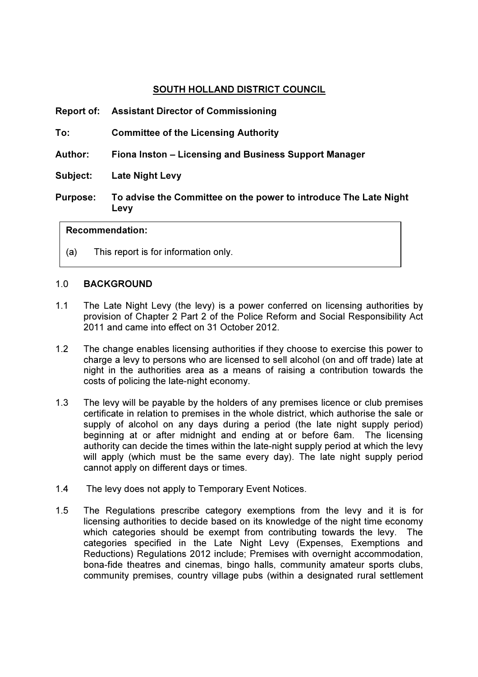## SOUTH HOLLAND DISTRICT COUNCIL

| <b>Purpose:</b> | To advise the Committee on the power to introduce The Late Night<br>Levy |
|-----------------|--------------------------------------------------------------------------|
| Subject:        | <b>Late Night Levy</b>                                                   |
| Author:         | Fiona Inston – Licensing and Business Support Manager                    |
| To:             | <b>Committee of the Licensing Authority</b>                              |
|                 | <b>Report of: Assistant Director of Commissioning</b>                    |

## Recommendation:

(a) This report is for information only.

## 1.0 BACKGROUND

- 1.1 The Late Night Levy (the levy) is a power conferred on licensing authorities by provision of Chapter 2 Part 2 of the Police Reform and Social Responsibility Act 2011 and came into effect on 31 October 2012.
- 1.2 The change enables licensing authorities if they choose to exercise this power to charge a levy to persons who are licensed to sell alcohol (on and off trade) late at night in the authorities area as a means of raising a contribution towards the costs of policing the late-night economy.
- 1.3 The levy will be payable by the holders of any premises licence or club premises certificate in relation to premises in the whole district, which authorise the sale or supply of alcohol on any days during a period (the late night supply period) beginning at or after midnight and ending at or before 6am. The licensing authority can decide the times within the late-night supply period at which the levy will apply (which must be the same every day). The late night supply period cannot apply on different days or times.
- 1.4 The levy does not apply to Temporary Event Notices.
- 1.5 The Regulations prescribe category exemptions from the levy and it is for licensing authorities to decide based on its knowledge of the night time economy which categories should be exempt from contributing towards the levy. The categories specified in the Late Night Levy (Expenses, Exemptions and Reductions) Regulations 2012 include; Premises with overnight accommodation, bona-fide theatres and cinemas, bingo halls, community amateur sports clubs, community premises, country village pubs (within a designated rural settlement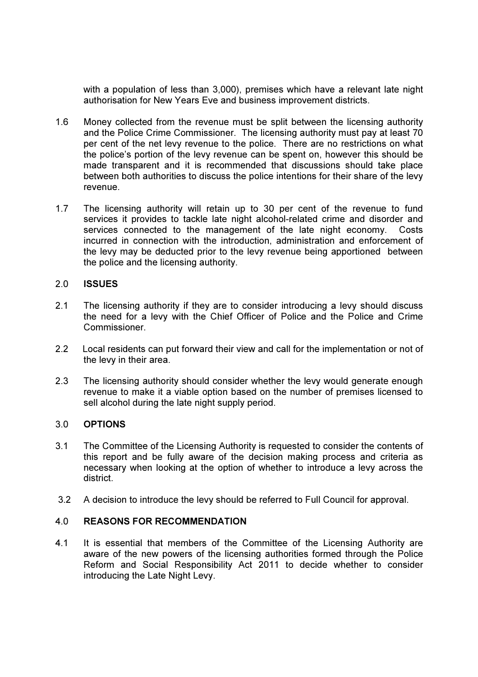with a population of less than 3,000), premises which have a relevant late night authorisation for New Years Eve and business improvement districts.

- 1.6 Money collected from the revenue must be split between the licensing authority and the Police Crime Commissioner. The licensing authority must pay at least 70 per cent of the net levy revenue to the police. There are no restrictions on what the police's portion of the levy revenue can be spent on, however this should be made transparent and it is recommended that discussions should take place between both authorities to discuss the police intentions for their share of the levy revenue.
- 1.7 The licensing authority will retain up to 30 per cent of the revenue to fund services it provides to tackle late night alcohol-related crime and disorder and services connected to the management of the late night economy. Costs incurred in connection with the introduction, administration and enforcement of the levy may be deducted prior to the levy revenue being apportioned between the police and the licensing authority.

## 2.0 ISSUES

- 2.1 The licensing authority if they are to consider introducing a levy should discuss the need for a levy with the Chief Officer of Police and the Police and Crime Commissioner.
- 2.2 Local residents can put forward their view and call for the implementation or not of the levy in their area.
- 2.3 The licensing authority should consider whether the levy would generate enough revenue to make it a viable option based on the number of premises licensed to sell alcohol during the late night supply period.

## 3.0 OPTIONS

- 3.1 The Committee of the Licensing Authority is requested to consider the contents of this report and be fully aware of the decision making process and criteria as necessary when looking at the option of whether to introduce a levy across the district.
- 3.2 A decision to introduce the levy should be referred to Full Council for approval.

## 4.0 REASONS FOR RECOMMENDATION

4.1 It is essential that members of the Committee of the Licensing Authority are aware of the new powers of the licensing authorities formed through the Police Reform and Social Responsibility Act 2011 to decide whether to consider introducing the Late Night Levy.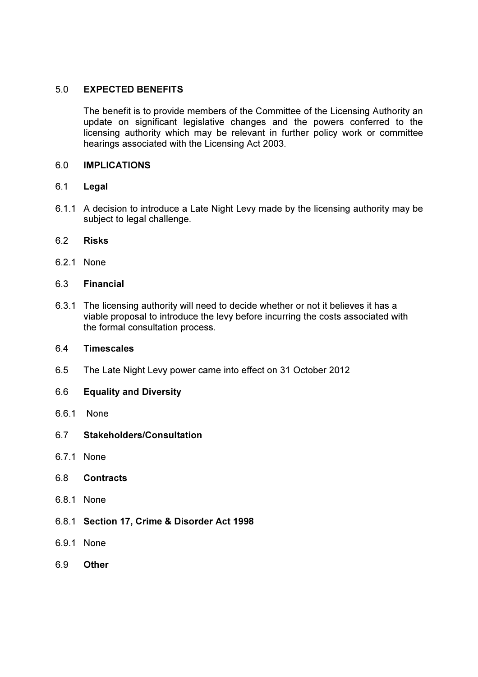## 5.0 EXPECTED BENEFITS

 The benefit is to provide members of the Committee of the Licensing Authority an update on significant legislative changes and the powers conferred to the licensing authority which may be relevant in further policy work or committee hearings associated with the Licensing Act 2003.

## 6.0 IMPLICATIONS

- 6.1 Legal
- 6.1.1 A decision to introduce a Late Night Levy made by the licensing authority may be subject to legal challenge.
- 6.2 Risks
- 6.2.1 None
- 6.3 Financial
- 6.3.1 The licensing authority will need to decide whether or not it believes it has a viable proposal to introduce the levy before incurring the costs associated with the formal consultation process.

## 6.4 Timescales

- 6.5 The Late Night Levy power came into effect on 31 October 2012
- 6.6 Equality and Diversity
- 6.6.1 None
- 6.7 Stakeholders/Consultation
- 6.7.1 None
- 6.8 Contracts
- 6.8.1 None
- 6.8.1 Section 17, Crime & Disorder Act 1998
- 6.9.1 None
- 6.9 Other